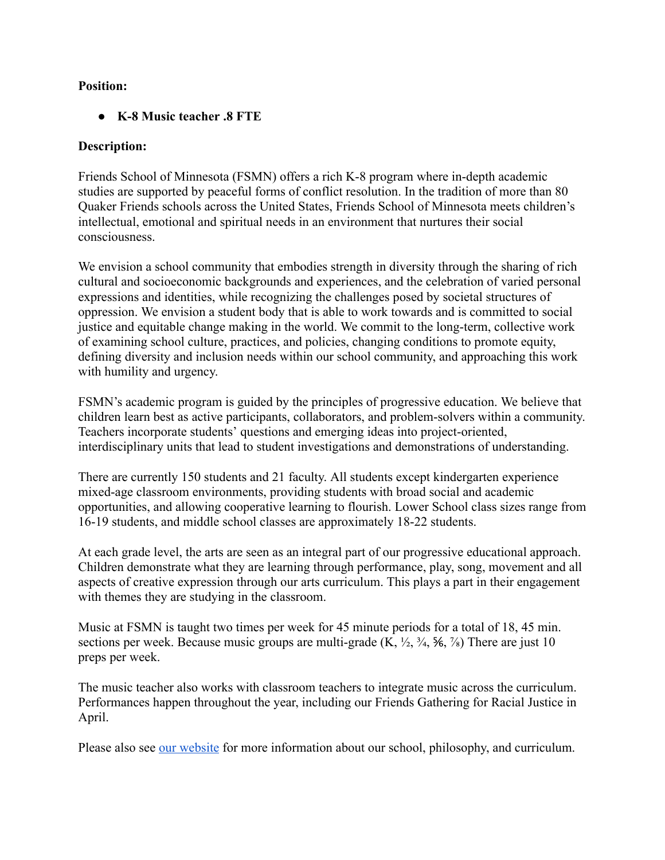#### **Position:**

#### ● **K-8 Music teacher .8 FTE**

#### **Description:**

Friends School of Minnesota (FSMN) offers a rich K-8 program where in-depth academic studies are supported by peaceful forms of conflict resolution. In the tradition of more than 80 Quaker Friends schools across the United States, Friends School of Minnesota meets children's intellectual, emotional and spiritual needs in an environment that nurtures their social consciousness.

We envision a school community that embodies strength in diversity through the sharing of rich cultural and socioeconomic backgrounds and experiences, and the celebration of varied personal expressions and identities, while recognizing the challenges posed by societal structures of oppression. We envision a student body that is able to work towards and is committed to social justice and equitable change making in the world. We commit to the long-term, collective work of examining school culture, practices, and policies, changing conditions to promote equity, defining diversity and inclusion needs within our school community, and approaching this work with humility and urgency.

FSMN's academic program is guided by the principles of progressive education. We believe that children learn best as active participants, collaborators, and problem-solvers within a community. Teachers incorporate students' questions and emerging ideas into project-oriented, interdisciplinary units that lead to student investigations and demonstrations of understanding.

There are currently 150 students and 21 faculty. All students except kindergarten experience mixed-age classroom environments, providing students with broad social and academic opportunities, and allowing cooperative learning to flourish. Lower School class sizes range from 16-19 students, and middle school classes are approximately 18-22 students.

At each grade level, the arts are seen as an integral part of our progressive educational approach. Children demonstrate what they are learning through performance, play, song, movement and all aspects of creative expression through our arts curriculum. This plays a part in their engagement with themes they are studying in the classroom.

Music at FSMN is taught two times per week for 45 minute periods for a total of 18, 45 min. sections per week. Because music groups are multi-grade  $(K, \frac{1}{2}, \frac{3}{4}, \frac{5}{6}, \frac{7}{8})$  There are just 10 preps per week.

The music teacher also works with classroom teachers to integrate music across the curriculum. Performances happen throughout the year, including our Friends Gathering for Racial Justice in April.

Please also see our website for more information about our school, philosophy, and curriculum.